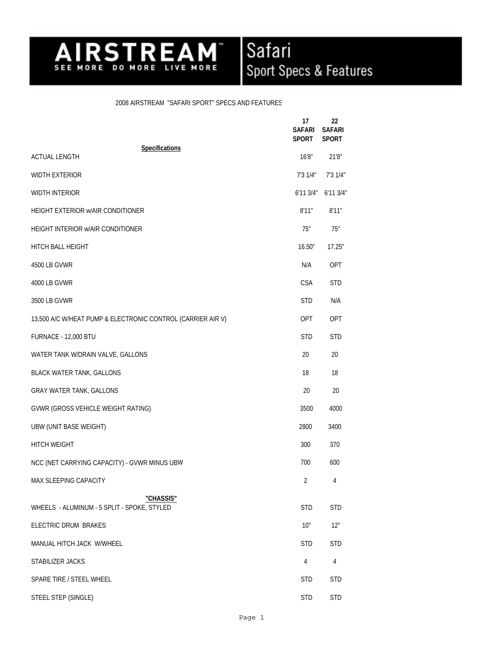## Safari<br>Sport Specs & Features AIRSTREAM M.

## 2008 AIRSTREAM "SAFARI SPORT" SPECS AND FEATURES

Airstream Inc.

|                                                             | 17<br><b>SAFARI</b><br><b>SPORT</b> | 22<br><b>SAFARI</b><br><b>SPORT</b> |
|-------------------------------------------------------------|-------------------------------------|-------------------------------------|
| <b>Specifications</b><br><b>ACTUAL LENGTH</b>               | 16'8"                               | 21'8"                               |
| <b>WIDTH EXTERIOR</b>                                       | 7'31/4"                             | 7'31/4"                             |
| <b>WIDTH INTERIOR</b>                                       | 6'113/4"                            | 6'113/4"                            |
| HEIGHT EXTERIOR WAIR CONDITIONER                            | 8'11"                               | 8'11"                               |
| HEIGHT INTERIOR W/AIR CONDITIONER                           | 75"                                 | 75"                                 |
| HITCH BALL HEIGHT                                           | 16.50"                              | 17.25"                              |
| 4500 LB GVWR                                                | N/A                                 | OPT                                 |
| 4000 LB GVWR                                                | <b>CSA</b>                          | <b>STD</b>                          |
| 3500 LB GVWR                                                | <b>STD</b>                          | N/A                                 |
| 13,500 A/C W/HEAT PUMP & ELECTRONIC CONTROL (CARRIER AIR V) | <b>OPT</b>                          | <b>OPT</b>                          |
| FURNACE - 12,000 BTU                                        | <b>STD</b>                          | <b>STD</b>                          |
| WATER TANK W/DRAIN VALVE, GALLONS                           | 20                                  | 20                                  |
| <b>BLACK WATER TANK, GALLONS</b>                            | 18                                  | 18                                  |
| <b>GRAY WATER TANK, GALLONS</b>                             | 20                                  | 20                                  |
| GVWR (GROSS VEHICLE WEIGHT RATING)                          | 3500                                | 4000                                |
| UBW (UNIT BASE WEIGHT)                                      | 2800                                | 3400                                |
| HITCH WEIGHT                                                | 300                                 | 370                                 |
| NCC (NET CARRYING CAPACITY) - GVWR MINUS UBW                | 700                                 | 600                                 |
| MAX SLEEPING CAPACITY                                       | 2                                   | 4                                   |
| "CHASSIS"<br>WHEELS - ALUMINUM - 5 SPLIT - SPOKE, STYLED    | <b>STD</b>                          | <b>STD</b>                          |
| ELECTRIC DRUM BRAKES                                        | 10"                                 | 12"                                 |
| MANUAL HITCH JACK W/WHEEL                                   | <b>STD</b>                          | <b>STD</b>                          |
| STABILIZER JACKS                                            | 4                                   | 4                                   |
| SPARE TIRE / STEEL WHEEL                                    | <b>STD</b>                          | <b>STD</b>                          |
| STEEL STEP (SINGLE)                                         | <b>STD</b>                          | <b>STD</b>                          |
|                                                             |                                     |                                     |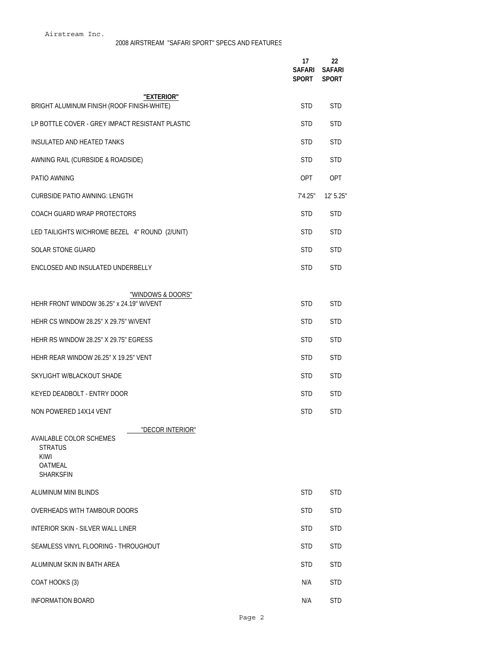|                                                                                                             | 17<br>SAFARI<br>SPORT | 22<br><b>SAFARI</b><br><b>SPORT</b> |
|-------------------------------------------------------------------------------------------------------------|-----------------------|-------------------------------------|
| "EXTERIOR"                                                                                                  |                       |                                     |
| BRIGHT ALUMINUM FINISH (ROOF FINISH-WHITE)                                                                  | <b>STD</b>            | <b>STD</b>                          |
| LP BOTTLE COVER - GREY IMPACT RESISTANT PLASTIC                                                             | <b>STD</b>            | <b>STD</b>                          |
| INSULATED AND HEATED TANKS                                                                                  | <b>STD</b>            | <b>STD</b>                          |
| AWNING RAIL (CURBSIDE & ROADSIDE)                                                                           | <b>STD</b>            | <b>STD</b>                          |
| PATIO AWNING                                                                                                | <b>OPT</b>            | OPT                                 |
| <b>CURBSIDE PATIO AWNING: LENGTH</b>                                                                        | 7'4.25"               | $12'$ 5.25"                         |
| COACH GUARD WRAP PROTECTORS                                                                                 | <b>STD</b>            | <b>STD</b>                          |
| LED TAILIGHTS W/CHROME BEZEL 4" ROUND (2/UNIT)                                                              | <b>STD</b>            | <b>STD</b>                          |
| <b>SOLAR STONE GUARD</b>                                                                                    | <b>STD</b>            | <b>STD</b>                          |
| ENCLOSED AND INSULATED UNDERBELLY                                                                           | <b>STD</b>            | <b>STD</b>                          |
|                                                                                                             |                       |                                     |
| "WINDOWS & DOORS"<br>HEHR FRONT WINDOW 36.25" x 24.19" W/VENT                                               | <b>STD</b>            | <b>STD</b>                          |
| HEHR CS WINDOW 28.25" X 29.75" W/VENT                                                                       | <b>STD</b>            | <b>STD</b>                          |
| HEHR RS WINDOW 28.25" X 29.75" EGRESS                                                                       | <b>STD</b>            | <b>STD</b>                          |
| HEHR REAR WINDOW 26.25" X 19.25" VENT                                                                       | <b>STD</b>            | <b>STD</b>                          |
| SKYLIGHT W/BLACKOUT SHADE                                                                                   | <b>STD</b>            | <b>STD</b>                          |
| KEYED DEADBOLT - ENTRY DOOR                                                                                 | <b>STD</b>            | <b>STD</b>                          |
| NON POWERED 14X14 VENT                                                                                      | <b>STD</b>            | <b>STD</b>                          |
| "DECOR INTERIOR"<br>AVAILABLE COLOR SCHEMES<br><b>STRATUS</b><br><b>KIWI</b><br><b>OATMEAL</b><br>SHARKSFIN |                       |                                     |
| ALUMINUM MINI BLINDS                                                                                        | <b>STD</b>            | <b>STD</b>                          |
| OVERHEADS WITH TAMBOUR DOORS                                                                                | <b>STD</b>            | <b>STD</b>                          |
| INTERIOR SKIN - SILVER WALL LINER                                                                           | <b>STD</b>            | <b>STD</b>                          |
| SEAMLESS VINYL FLOORING - THROUGHOUT                                                                        | <b>STD</b>            | <b>STD</b>                          |
| ALUMINUM SKIN IN BATH AREA                                                                                  | <b>STD</b>            | <b>STD</b>                          |
| COAT HOOKS (3)                                                                                              | N/A                   | <b>STD</b>                          |
| <b>INFORMATION BOARD</b>                                                                                    | N/A                   | <b>STD</b>                          |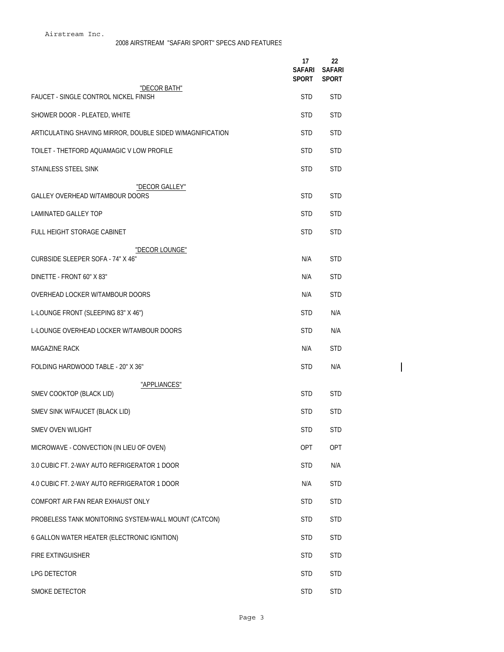|                                                              | 17<br>SAFARI<br>SPORT | 22<br><b>SAFARI</b><br><b>SPORT</b> |  |
|--------------------------------------------------------------|-----------------------|-------------------------------------|--|
| "DECOR BATH"<br><b>FAUCET - SINGLE CONTROL NICKEL FINISH</b> | <b>STD</b>            | <b>STD</b>                          |  |
| SHOWER DOOR - PLEATED, WHITE                                 | <b>STD</b>            | <b>STD</b>                          |  |
| ARTICULATING SHAVING MIRROR, DOUBLE SIDED W/MAGNIFICATION    | <b>STD</b>            | <b>STD</b>                          |  |
| TOILET - THETFORD AQUAMAGIC V LOW PROFILE                    | <b>STD</b>            | <b>STD</b>                          |  |
| STAINLESS STEEL SINK                                         | <b>STD</b>            | <b>STD</b>                          |  |
| "DECOR GALLEY"<br>GALLEY OVERHEAD W/TAMBOUR DOORS            | <b>STD</b>            | <b>STD</b>                          |  |
| <b>LAMINATED GALLEY TOP</b>                                  | <b>STD</b>            | <b>STD</b>                          |  |
| FULL HEIGHT STORAGE CABINET                                  | <b>STD</b>            | <b>STD</b>                          |  |
| "DECOR LOUNGE"<br>CURBSIDE SLEEPER SOFA - 74" X 46"          | N/A                   | <b>STD</b>                          |  |
| DINETTE - FRONT 60" X 83"                                    | N/A                   | <b>STD</b>                          |  |
| OVERHEAD LOCKER W/TAMBOUR DOORS                              | N/A                   | <b>STD</b>                          |  |
| L-LOUNGE FRONT (SLEEPING 83" X 46")                          | <b>STD</b>            | N/A                                 |  |
| L-LOUNGE OVERHEAD LOCKER W/TAMBOUR DOORS                     | <b>STD</b>            | N/A                                 |  |
| <b>MAGAZINE RACK</b>                                         | N/A                   | <b>STD</b>                          |  |
| FOLDING HARDWOOD TABLE - 20" X 36"                           | <b>STD</b>            | N/A                                 |  |
| "APPLIANCES"<br>SMEV COOKTOP (BLACK LID)                     | <b>STD</b>            | <b>STD</b>                          |  |
| SMEV SINK W/FAUCET (BLACK LID)                               | <b>STD</b>            | <b>STD</b>                          |  |
| SMEV OVEN W/LIGHT                                            | STD                   | STD                                 |  |
| MICROWAVE - CONVECTION (IN LIEU OF OVEN)                     | OPT                   | OPT                                 |  |
| 3.0 CUBIC FT. 2-WAY AUTO REFRIGERATOR 1 DOOR                 | <b>STD</b>            | N/A                                 |  |
| 4.0 CUBIC FT. 2-WAY AUTO REFRIGERATOR 1 DOOR                 | N/A                   | <b>STD</b>                          |  |
| COMFORT AIR FAN REAR EXHAUST ONLY                            | <b>STD</b>            | <b>STD</b>                          |  |
| PROBELESS TANK MONITORING SYSTEM-WALL MOUNT (CATCON)         | <b>STD</b>            | <b>STD</b>                          |  |
| 6 GALLON WATER HEATER (ELECTRONIC IGNITION)                  | <b>STD</b>            | <b>STD</b>                          |  |
| FIRE EXTINGUISHER                                            | <b>STD</b>            | <b>STD</b>                          |  |
| LPG DETECTOR                                                 | <b>STD</b>            | <b>STD</b>                          |  |
| SMOKE DETECTOR                                               | <b>STD</b>            | <b>STD</b>                          |  |

 $\overline{1}$